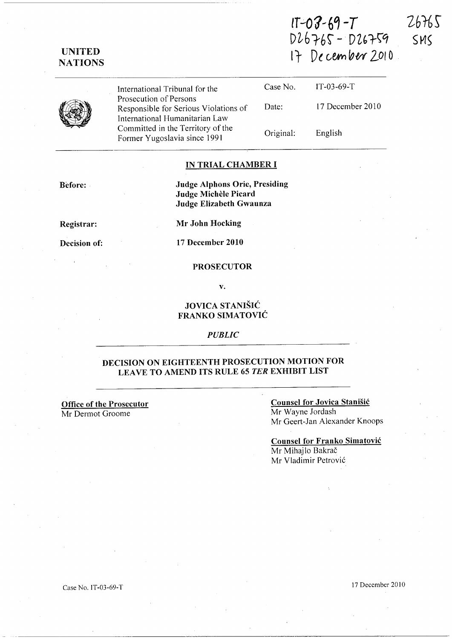## **UNITE]) NATIONS**

 $IT - O3 - 69 - T$  $26765$ D~61'br **- DZ(,r\'1**   $17$  De cember 2010

SMS

International Tribunal for the Prosecution of Persons Case No. IT-03-69-T Responsible for Serious Violations of International Humanitarian Law Committed in the Territory of the Former Yugoslavia since 1991 Date: Original: 17 December 2010 English

#### **IN TRIAL CHAMBER I**

**Before:** 

**Judge Alphons Orie, Presiding Judge Michele Picard Judge Elizabeth Gwaunza** 

**Registrar:** 

**Decision of:** 

**Mr John Hocking** 

**17 December 2010** 

### **PROSECUTOR**

**v.** 

### **JOVICA STANISIC FRANKO SIMATOVIC**

### *PUBLIC*

### **DECISION ON EIGHTEENTH PROSECUTION MOTION FOR LEA VE TO AMEND ITS RULE 65** *TER* **EXHIBIT LIST**

**Office of the Prosecutor**  Mr Dermot Groome

### **Counsel for Jovica Stanisic**  Mr Wayne Jordash Mr Geert-Jan Alexander Knoops

**Counsel for Franko Simatovic**  Mr Mihajlo Bakrač Mr Vladimir Petrović

17 December 2010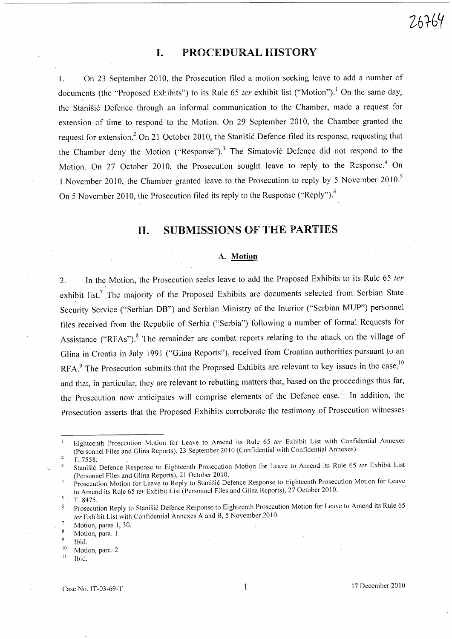## **I.** PROCEDURAL HISTORY

1. On 23 September 2010, the Prosecution filed a motion seeking leave to add a number of documents (the "Proposed Exhibits") to its Rule 65 ter exhibit list ("Motion").<sup>1</sup> On the same day, the Stanišić Defence through an informal communication to the Chamber, made a request for extension of time to respond to the Motion. On 29 September 2010, the Chamber granted the request for extension.<sup>2</sup> On 21 October 2010, the Stanišić Defence filed its response, requesting that the Chamber deny the Motion ("Response").<sup>3</sup> The Simatović Defence did not respond to the Motion. On 27 October 2010, the Prosecution sought leave to reply to the Response.<sup>4</sup> On 1 November 2010, the Chamber granted leave to the Prosecution to reply by 5 November 2010.<sup>5</sup> On 5 November 2010, the Prosecution filed its reply to the Response ("Reply").<sup>6</sup>

## **11.** SUBMISSIONS OF THE PARTIES

### A. Motion

2. In the Motion, the Prosecution seeks leave to add the Proposed Exhibits to its Rule 65 ter exhibit list.<sup>7</sup> The majority of the Proposed Exhibits are documents selected from Serbian State Security Service ("Serbian DB") and Serbian Ministry of the Interior ("Serbian MUP") personnel files received from the Republic of Serbia ("Serbia") following a number of formal Requests for Assistance ("RFAs").<sup>8</sup> The remainder are combat reports relating to the attack on the village of Glina in Croatia in July 1991 ("Glina Reports"), received from Croatian authorities pursuant to an RFA.<sup>9</sup> The Prosecution submits that the Proposed Exhibits are relevant to key issues in the case,<sup>10</sup> and that, in particular, they are relevant to rebutting matters that, based on the proceedings thus far, the Prosecution now anticipates will comprise elements of the Defence case.<sup>11</sup> In addition, the Prosecution asserts that the Proposed Exhibits corroborate the testimony of Prosecution witnesses

 $\overline{2}$ *T.7558.* 

5. *T.8475.* 

- Motion, para. 1.
- Ibid.
- <sup>10</sup> Motion, para. 2.
- $11$  Ibid.

26764

Eighteenth Prosecution Motion for Leave to Amend its Rule 65 fer Exhibit List with Confidential Annexes (Personnel Files and Glina Reports), 23 September 2010 (Confidential with Confidential Annexes).

Stanišić Defence Response to Eighteenth Prosecution Motion for Leave to Amend its Rule 65 ter Exhibit List  $\overline{3}$ (Personnel Files and Glina Reports), 21 October 2010.

Prosecution Motion for Leave to Reply to Stanisic Defence Response to Eighteenth Prosecution Motion for Leave to Amend its Rule 65 fer Exhibit List (Personnel Files and Glina Reports), 27 October 2010.

Prosecution Reply to Stanisic Defence Response to Eighteenth Prosecution Motion for Leave to Amend its Rule 65 fer Exhibit List with Confidential Annexes A and 8, 5 November 2010.

Motion, paras 1, 30.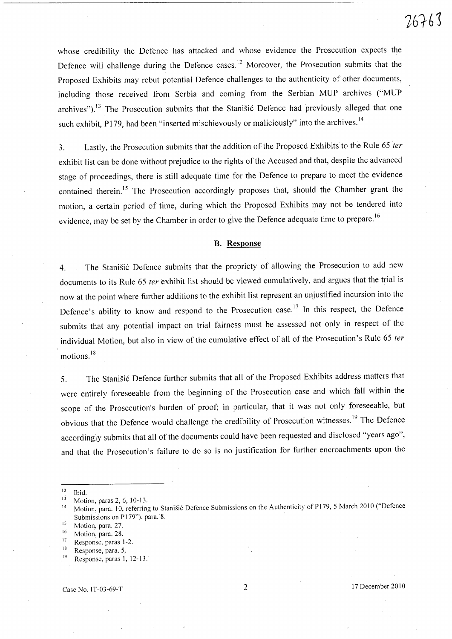whose credibility the Defence has attacked and whose evidence the Prosecution expects the Defence will challenge during the Defence cases.<sup>12</sup> Moreover, the Prosecution submits that the Proposed Exhibits may rebut potential Defence challenges to the authenticity of other documents, including those received from Serbia and coming from the Serbian MUP archives ("MUP archives").<sup>13</sup> The Prosecution submits that the Stanisić Defence had previously alleged that one such exhibit, P179, had been "inserted mischieyously or maliciously" into the archives.<sup>14</sup>

3. Lastly, the Prosecution submits that the addition of the Proposed Exhibits to the Rule 65 ter exhibit list can be done without prejudice to the rights of the Accused and that, despite the advanced stage of proceedings, there is still adequate time for the Defence to prepare to meet the evidence contained therein.<sup>15</sup> The Prosecution accordingly proposes that, should the Chamber grant the motion, a certain period of time, during which the Proposed Exhibits may not be tendered into evidence, may be set by the Chamber in order to give the Defence adequate time to prepare.<sup>16</sup>

### **B. Response**

4: The Stanišić Defence submits that the propriety of allowing the Prosecution to add new documents to its Rule 65 ter exhibit list should be viewed cumulatively, and argues that the trial is now at the point where further additions to the exhibit list represent an unjustified incursion into the Defence's ability to know and respond to the Prosecution case.17 **In** this respect, the Defence submits that any potential impact on trial fairness must be assessed not only in respect of the individual Motion, but also in view of the cumulative effect of all of the Prosecution's Rule 65 ter motions.<sup>18</sup>

5. The Stanišić Defence further submits that all of the Proposed Exhibits address matters that were entirely foreseeable from the beginning of the Prosecution case and which fall within the scope of the Prosecution's burden of proof; in particular, that it was not only foreseeable, but obvious that the Defence would challenge the credibility of Prosecution witnesses.<sup>19</sup> The Defence accordingly submits that all of the documents could have been requested and disclosed "years ago", and that the Prosecution's failure to do so is no justification for further encroachments upon the

- $^{16}$  Motion, para. 28.
- 17 Response, paras 1-2.
- 18 . Response, para. 5,

 $12$  Ibid.

 $13$  Motion, paras 2, 6, 10-13.

<sup>14</sup> Motion, para. 10, referring to Stanisić Defence Submissions on the Authenticity of P179, 5 March 2010 ("Defence Submissions on PI79"), para. 8.

<sup>&</sup>lt;sup>15</sup> Motion, para. 27.

 $19$  Response, paras 1, 12-13.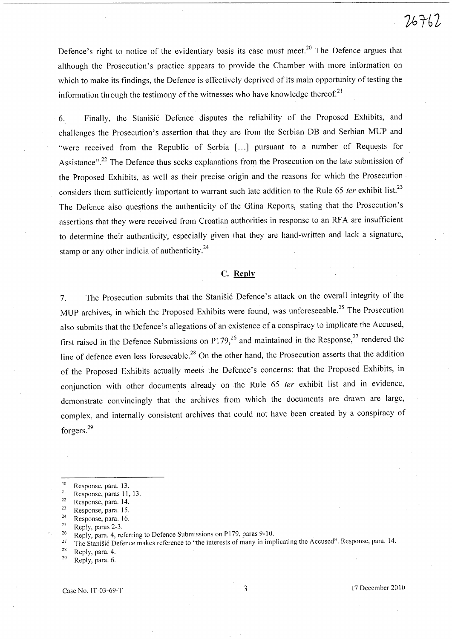Defence's right to notice of the evidentiary basis its case must meet.<sup>20</sup> The Defence argues that although the Prosecution's practice appears to provide the Chamber with more information on which to make its findings, the Defence is effectively deprived of its main opportunity of testing the information through the testimony of the witnesses who have knowledge thereof.<sup>21</sup>

6. Finally, the Stanisic Defence disputes the reliability of the Proposed Exhibits, and challenges the Prosecution's assertion that they are from the Serbian DB and Serbian MUP and "were received from the Republic of Serbia [...] pursuant to a number of Requests for Assistance".<sup>22</sup> The Defence thus seeks explanations from the Prosecution on the late submission of the Proposed Exhibits, as well as their precise origin and the reasons for which the Prosecution considers them sufficiently important to warrant such late addition to the Rule 65 ter exhibit list.<sup>23</sup> The Defence also questions the authenticity of the Glina Reports, stating that the Prosecution's assertions that they were received from Croatian authorities in response to an RFA are insufficient to determine their authenticity, especially given that they are hand-written and lack a signature, stamp or any other indicia of authenticity. $24$ 

### C. **Reply**

7. The Prosecution submits that the Stanišić Defence's attack on the overall integrity of the MUP archives, in which the Proposed Exhibits were found, was unforeseeable.<sup>25</sup> The Prosecution also submits that the Defence's allegations of an existence of a conspiracy to implicate the Accused, first raised in the Defence Submissions on P179,<sup>26</sup> and maintained in the Response,<sup>27</sup> rendered the line of defence even less foreseeable.<sup>28</sup> On the other hand, the Prosecution asserts that the addition of the Proposed Exhibits actually meets the Defence's concerns: that the Proposed Exhibits, in conjunction with other documents already on the Rule 65 ter exhibit list and in evidence, demonstrate convincingly that the archives from which the documents are drawn are large, complex, and internally consistent archives that could not have been created by a conspiracy of forgers. <sup>29</sup>

 $28$  Reply, para. 4.

 $29$  Reply, para. 6.

 $\frac{20}{21}$  Response, para. 13.

 $\frac{21}{22}$  Response, paras 11, 13. Response, para. 14.

<sup>23</sup> Response, para. 15.

 $rac{24}{25}$  Response, para. 16.

 $\frac{25}{26}$  Reply, paras 2-3. 26 Reply, para. 4, referring to Defence Submissions on P179, paras 9-lO.

<sup>&</sup>lt;sup>27</sup> The Stanisić Defence makes reference to "the interests of many in implicating the Accused". Response, para. 14.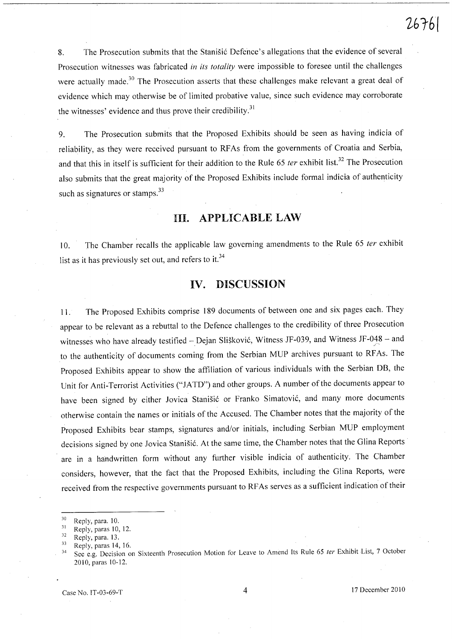8. The Prosecution submits that the Stanisic Defence's allegations that the evidence of several Prosecution witnesses was fabricated *in its totality* were impossible to foresee until the challenges were actually made.<sup>30</sup> The Prosecution asserts that these challenges make relevant a great deal of evidence which may otherwise be of limited probative value, since such evidence may corroborate the witnesses' evidence and thus prove their credibility. $31$ 

9. The Prosecution submits that the Proposed Exhibits should be seen as having indicia of reliability, as they were received pursuant to RFAs from the governments of Croatia and Serbia, and that this in itself is sufficient for their addition to the Rule 65 *ter* exhibit list.<sup>32</sup> The Prosecution also submits that the great majority of the Proposed Exhibits include formal indicia of authenticity such as signatures or stamps.<sup>33</sup>

## **Ill. APPLICABLE LAW**

10. The Chamber recalls the applicable law governing amendments to the Rule 65 *ter* exhibit list as it has previously set out, and refers to it.<sup>34</sup>

## **IV. DISCUSSION**

11. The Proposed Exhibits comprise 189 documents of between one and six pages each. They appear to be relevant as a rebuttal to the Defence challenges to the credibility of three Prosecution witnesses who have already testified - Dejan Slišković, Witness JF-039, and Witness JF-048 - and to the authenticity of documents coming from the Serbian MUP archives pursuant to RF As. The Proposed Exhibits appear to show the affiliation of various individuals with the Serbian DB, the Unit for Anti-Terrorist Activities ("JATD") and other groups. A number of the documents appear to have been signed by either Jovica Stanisic or Franko Simatovic, and many more documents otherwise contain the names or initials of the Accused. The Chamber notes that the majority of the Proposed Exhibits bear stamps, signatures and/or initials, including Serbian MUP employment decisions signed by one Jovica Stanisic. At the same time, the Chamber notes that the Glina Reports are in a handwritten form without any further visible indicia of authenticity. The Chamber considers, however, that the fact that the Proposed Exhibits, including the Glina Reports, were received from the respective governments pursuant to RF As serves as a sufficient indication of their

<sup>30</sup> Reply, para. 10.

 $31$  Reply, paras 10, 12.

<sup>&</sup>lt;sup>32</sup> Reply, para. 13.

 $33$  Reply, paras 14, 16.

<sup>&</sup>lt;sup>34</sup> See e.g. Decision on Sixteenth Prosecution Motion for Leave to Amend Its Rule 65 ter Exhibit List, 7 October 2010, paras 10-12.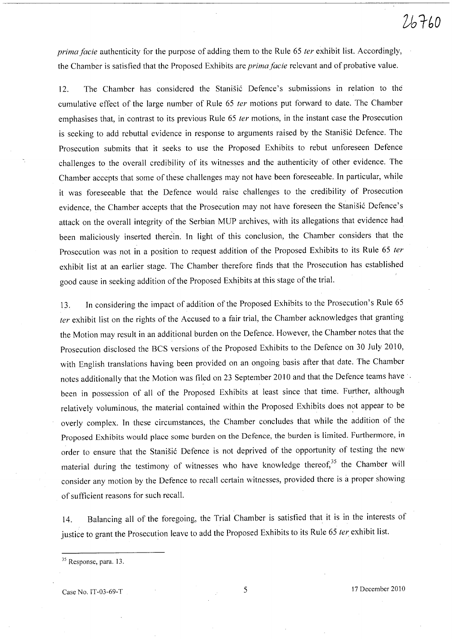*prima facie* authenticity for the purpose of adding them to the Rule 65 *ter* exhibit list. Accordingly, the Chamber is satisfied that the Proposed Exhibits are *prima facie* relevant and of probative value.

12. The Chamber has considered the Stanisic Defence's submissions in relation to the cumulative effect of the large number of Rule 65 *ter* motions put forward to date. The Chamber emphasises that, in contrast to its previous Rule 65 *fer* motions, in the instant case the Prosecution is seeking to add rebuttal evidence in response to arguments raised by the Stanišić Defence. The Prosecution submits that it seeks to use the Proposed Exhibits to rebut unforeseen Defence challenges to the overall credibility of its witnesses and the authenticity of other evidence. The Chamber accepts that some of these challenges may not have been foreseeable. In particular, while it was foreseeable that the Defence would raise challenges to the credibility of Prosecution evidence, the Chamber accepts that the Prosecution may not have foreseen the Stanišić Defence's attack on the overall integrity of the Serbian MUP archives, with its allegations that evidence had been maliciously inserted therein. In light of this conclusion, the Chamber considers that the Prosecution was not in a position to request addition of the Proposed Exhibits to its Rule 65 *ter*  exhibit list at an earlier stage. The Chamber therefore finds that the Prosecution has established good cause in seeking addition of the Proposed Exhibits at this stage of the trial.

13. In considering the impact of addition of the Proposed Exhibits to the Prosecution's Rule 65 *fer* exhibit list on the rights of the Accused to a fair trial, the Chamber acknowledges that granting the Motion may result in an additional burden on the Defence. However, the Chamber notes that the Prosecution disclosed the BCS versions of the Proposed Exhibits to the Defence on 30 July 2010, with English translations having been provided on an ongoing basis after that date. The Chamber notes additionally that the Motion was filed on 23 September 2010 and that the Defence teams have been in possession of all of the Proposed Exhibits at least since that time. Further, although relatively voluminous, the material contained within the Proposed Exhibits does not appear to be overly complex. In these circumstances, the Chamber concludes that while the addition of the Proposed Exhibits would place some burden on the Defence, the burden is limited. Furthermore, in order to ensure that the Stanišić Defence is not deprived of the opportunity of testing the new material during the testimony of witnesses who have knowledge thereof,<sup>35</sup> the Chamber will consider any motion by the Defence to recall certain witnesses, provided there is a proper showing of sufficient reasons for such recall.

14. Balancing all of the foregoing, the Trial Chamber is satisfied that it is in the interests of justice to grant the Prosecution leave to add the Proposed Exhibits to its Rule 65 *fer* exhibit list.

<sup>35</sup> Response, para. 13.